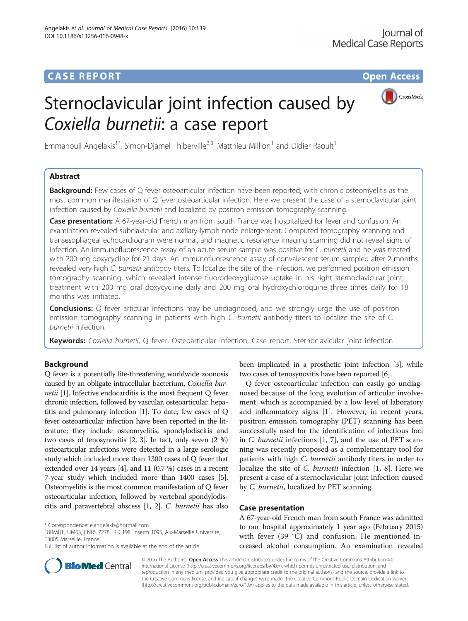

# Sternoclavicular joint infection caused by Coxiella burnetii: a case report

Emmanouil Angelakis<sup>1\*</sup>, Simon-Djamel Thiberville<sup>2,3</sup>, Matthieu Million<sup>1</sup> and Didier Raoult<sup>1</sup>

## Abstract

**Background:** Few cases of Q fever osteoarticular infection have been reported, with chronic osteomyelitis as the most common manifestation of Q fever osteoarticular infection. Here we present the case of a sternoclavicular joint infection caused by Coxiella burnetii and localized by positron emission tomography scanning.

Case presentation: A 67-year-old French man from south France was hospitalized for fever and confusion. An examination revealed subclavicular and axillary lymph node enlargement. Computed tomography scanning and transesophageal echocardiogram were normal, and magnetic resonance imaging scanning did not reveal signs of infection. An immunofluorescence assay of an acute serum sample was positive for C. burnetii and he was treated with 200 mg doxycycline for 21 days. An immunofluorescence assay of convalescent serum sampled after 2 months revealed very high C. burnetii antibody titers. To localize the site of the infection, we performed positron emission tomography scanning, which revealed intense fluorodeoxyglucose uptake in his right sternoclavicular joint; treatment with 200 mg oral doxycycline daily and 200 mg oral hydroxychloroquine three times daily for 18 months was initiated.

**Conclusions:** Q fever articular infections may be undiagnosed, and we strongly urge the use of positron emission tomography scanning in patients with high C. burnetii antibody titers to localize the site of C. burnetii infection.

Keywords: Coxiella burnetii, Q fever, Osteoarticular infection, Case report, Sternoclavicular joint infection

## Background

Q fever is a potentially life-threatening worldwide zoonosis caused by an obligate intracellular bacterium, Coxiella burnetii [[1](#page-2-0)]. Infective endocarditis is the most frequent Q fever chronic infection, followed by vascular, osteoarticular, hepatitis and pulmonary infection [\[1\]](#page-2-0). To date, few cases of Q fever osteoarticular infection have been reported in the literature; they include osteomyelitis, spondylodiscitis and two cases of tenosynovitis [[2](#page-2-0), [3\]](#page-2-0). In fact, only seven (2 %) osteoarticular infections were detected in a large serologic study which included more than 1300 cases of Q fever that extended over 14 years [\[4\]](#page-2-0), and 11 (0.7 %) cases in a recent 7-year study which included more than 1400 cases [[5](#page-2-0)]. Osteomyelitis is the most common manifestation of Q fever osteoarticular infection, followed by vertebral spondylodiscitis and paravertebral abscess [[1, 2](#page-2-0)]. C. burnetii has also

<sup>1</sup>URMITE, UM63, CNRS 7278, IRD 198, Inserm 1095, Aix-Marseille Université, 13005 Marseille, France

been implicated in a prosthetic joint infection [\[3\]](#page-2-0), while two cases of tenosynovitis have been reported [\[6\]](#page-2-0).

Q fever osteoarticular infection can easily go undiagnosed because of the long evolution of articular involvement, which is accompanied by a low level of laboratory and inflammatory signs [\[1](#page-2-0)]. However, in recent years, positron emission tomography (PET) scanning has been successfully used for the identification of infectious foci in C. burnetii infections [[1, 7](#page-2-0)], and the use of PET scanning was recently proposed as a complementary tool for patients with high C. burnetii antibody titers in order to localize the site of C. burnetii infection [[1, 8\]](#page-2-0). Here we present a case of a sternoclavicular joint infection caused by C. burnetii, localized by PET scanning.

## Case presentation

A 67-year-old French man from south France was admitted to our hospital approximately 1 year ago (February 2015) with fever (39 °C) and confusion. He mentioned increased alcohol consumption. An examination revealed



© 2016 The Author(s). Open Access This article is distributed under the terms of the Creative Commons Attribution 4.0 International License [\(http://creativecommons.org/licenses/by/4.0/](http://creativecommons.org/licenses/by/4.0/)), which permits unrestricted use, distribution, and reproduction in any medium, provided you give appropriate credit to the original author(s) and the source, provide a link to the Creative Commons license, and indicate if changes were made. The Creative Commons Public Domain Dedication waiver [\(http://creativecommons.org/publicdomain/zero/1.0/](http://creativecommons.org/publicdomain/zero/1.0/)) applies to the data made available in this article, unless otherwise stated.

<sup>\*</sup> Correspondence: [e.angelakis@hotmail.com](mailto:e.angelakis@hotmail.com) <sup>1</sup>

Full list of author information is available at the end of the article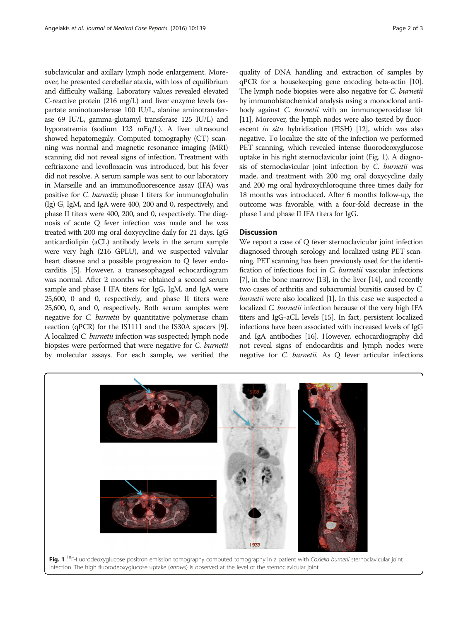subclavicular and axillary lymph node enlargement. Moreover, he presented cerebellar ataxia, with loss of equilibrium and difficulty walking. Laboratory values revealed elevated C-reactive protein (216 mg/L) and liver enzyme levels (aspartate aminotransferase 100 IU/L, alanine aminotransferase 69 IU/L, gamma-glutamyl transferase 125 IU/L) and hyponatremia (sodium 123 mEq/L). A liver ultrasound showed hepatomegaly. Computed tomography (CT) scanning was normal and magnetic resonance imaging (MRI) scanning did not reveal signs of infection. Treatment with ceftriaxone and levofloxacin was introduced, but his fever did not resolve. A serum sample was sent to our laboratory in Marseille and an immunofluorescence assay (IFA) was positive for C. burnetii; phase I titers for immunoglobulin (Ig) G, IgM, and IgA were 400, 200 and 0, respectively, and phase II titers were 400, 200, and 0, respectively. The diagnosis of acute Q fever infection was made and he was treated with 200 mg oral doxycycline daily for 21 days. IgG anticardiolipin (aCL) antibody levels in the serum sample were very high (216 GPLU), and we suspected valvular heart disease and a possible progression to Q fever endocarditis [\[5](#page-2-0)]. However, a transesophageal echocardiogram was normal. After 2 months we obtained a second serum sample and phase I IFA titers for IgG, IgM, and IgA were 25,600, 0 and 0, respectively, and phase II titers were 25,600, 0, and 0, respectively. Both serum samples were negative for C. burnetii by quantitative polymerase chain reaction (qPCR) for the IS1111 and the IS30A spacers [[9](#page-2-0)]. A localized C. burnetii infection was suspected; lymph node biopsies were performed that were negative for C. burnetii by molecular assays. For each sample, we verified the quality of DNA handling and extraction of samples by qPCR for a housekeeping gene encoding beta-actin [\[10](#page-2-0)]. The lymph node biopsies were also negative for *C. burnetii* by immunohistochemical analysis using a monoclonal antibody against C. burnetii with an immunoperoxidase kit [[11](#page-2-0)]. Moreover, the lymph nodes were also tested by fluorescent in situ hybridization (FISH) [\[12\]](#page-2-0), which was also negative. To localize the site of the infection we performed PET scanning, which revealed intense fluorodeoxyglucose uptake in his right sternoclavicular joint (Fig. 1). A diagnosis of sternoclavicular joint infection by C. burnetii was made, and treatment with 200 mg oral doxycycline daily and 200 mg oral hydroxychloroquine three times daily for 18 months was introduced. After 6 months follow-up, the outcome was favorable, with a four-fold decrease in the phase I and phase II IFA titers for IgG.

## **Discussion**

We report a case of O fever sternoclavicular joint infection diagnosed through serology and localized using PET scanning. PET scanning has been previously used for the identification of infectious foci in C. burnetii vascular infections [[7](#page-2-0)], in the bone marrow [[13](#page-2-0)], in the liver [\[14\]](#page-2-0), and recently two cases of arthritis and subacromial bursitis caused by C. burnetii were also localized [\[1\]](#page-2-0). In this case we suspected a localized C. burnetii infection because of the very high IFA titers and IgG-aCL levels [[15\]](#page-2-0). In fact, persistent localized infections have been associated with increased levels of IgG and IgA antibodies [\[16](#page-2-0)]. However, echocardiography did not reveal signs of endocarditis and lymph nodes were negative for C. burnetii. As Q fever articular infections